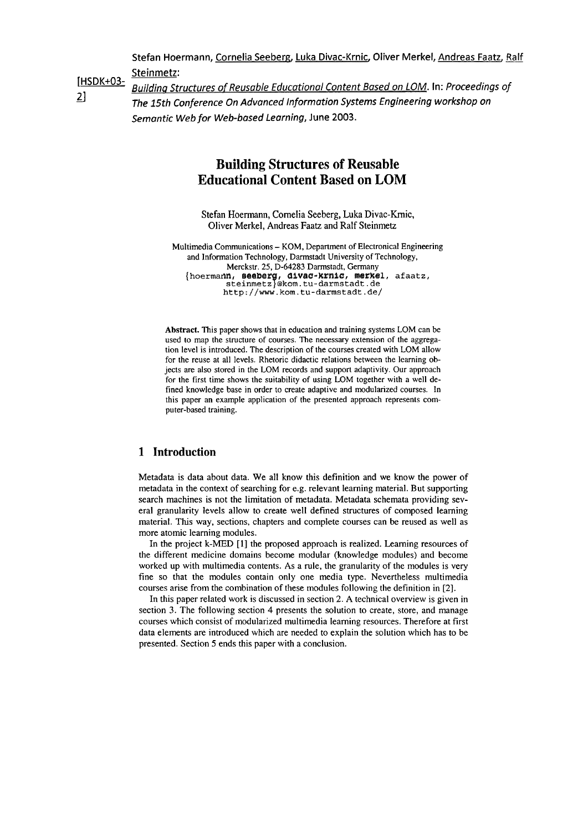Stefan Hoermann, Cornelia Seeberg, Luka Divac-Krnic, Oliver Merkel, Andreas Faatz, Ralf

**Steinmetz: [HSDK+03-** 

**Building Structures of Reusable Educational Content Based on LOM. In: Proceedings of**<br>2] The AFU Conference On Advanced Information Systems Engineering workshop on The 15th Conference On Advanced Information Systems Engineering workshop on Semantic Web for Web-based Learning, **June 2003.** 

# **Building Structures of Reusable Educational Content Based on LOM**

Stefan Hoermann, Cornelia Seeberg, Luka Divac-Krnic, Oliver Merkel, Andreas Faatz and Ralf Steinmetz

Multimedia Communications - KOM, Department of Electronical Engineering and Information Technology, Darmstadt University of Technology, Merckstr. 25, **D-64283** Darmstadt, Germany Merckstr. 25, D-64283 Darmstadt, Germany<br>{hoermann, seeberg, divac-krnic, merkel, afaatz, {<br>steinmetz}@kom.tu-darmstadt.de **http://www.kom.tu-darmstadt.de/** 

Abstract. This paper shows that in education and training systems LOM can be used to map the structure of courses. The necessary extension of the aggregation level is introduced. The description of the courses created with LOM allow for the reuse at all levels. Rhetoric didactic relations between the learning objects are also stored in the LOM records and Support adaptivity. Our approach for the first time shows the suitability of using LOM together with a well defined knowledge base in order to create adaptive and modularized courses. In this paper an example application of the presented approach represents computer-based training.

# **1 Introduction**

Metadata is data about data. We all know this definition and we know the power of metadata in the context of searching for e.g. relevant leaming material. But supporting search machines is not the limitation of metadata. Metadata schemata providing several granularity levels allow to create well defined structures of composed leaming material. This way, sections, chapters and complete courses can be reused as well as more atomic learning modules.

In the project k-MED [I] the proposed approach is realized. Leaming resources of the different medicine domains become modular (knowledge modules) and become worked up with multimedia contents. As a rule, the granularity of the modules is very fine so that the modules contain only one media type. Nevertheless multimedia courses arise from the combination of these modules following the definition in [2].

In this paper related work is discussed in section 2. **A** technical overview is given in section 3. The following section 4 presents the solution to create, store, and manage courses which consist of modularized multimedia leaming resources. Therefore at first data elements are introduced which are needed to explain the solution which has to be presented. Section 5 ends this paper with a conclusion.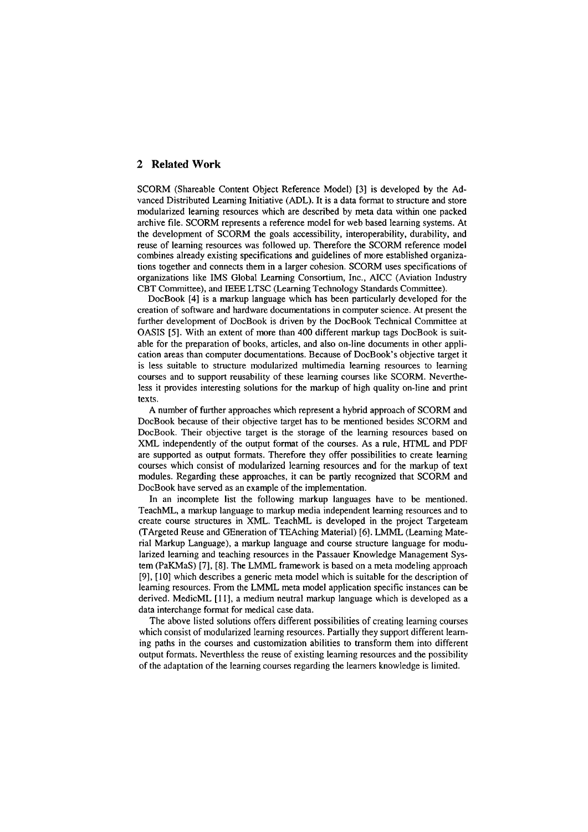### **2 Related Work**

SCORM (Shareable Content Object Reference Model) [3] is developed by the Advanced Distributed Leaming Initiative (ADL). It is a data forrnat to structure and Store modularized learning resources which are described by meta data within one packed archive file. SCORM represents a reference model for web based learning systems. At the development of SCORM the goals accessibility, interoperability, durability, and reuse of leaming resources was followed up. Therefore the SCORM reference model combines already existing specifications and guidelines of more established organizations together and connects them in a larger cohesion. SCORM uses specifications of organizations like IMS Global Leaming Consortium, Inc., AICC (Aviation Industry CBT Committee), and IEEE LTSC (Learning Technology Standards Committee).

DocBook [4] is a markup language which has been particularly developed for the creation of software and hardware documentations in computer science. At present the further development of DocBook is driven by the DocBook Technical Committee at OASIS [SI. With an extent of more than 400 different markup tags DocBook is suitable for the preparation of books, articles, and also on-line documents in other application areas than computer documentations. Because of DocBook's objective target it is less suitable to structure modularized multimedia learning resources to learning courses and to support reusability of these leaming courses like SCORM. Nevertheless it provides interesting solutions for the markup of high quality on-line and print texts.

A number of further approaches which represent a hybrid approach of SCORM and DocBook because of their objective target has to be mentioned besides SCORM and DocBook. Their objective target is the storage of the learning resources based on XML independently of the output format of the courses. As a rule, HTML and PDF are supported as output formats. Therefore they offer possibilities to create learning courses which consist of modularized leaming resources and for the markup of text modules. Regarding these approaches, it can be partly recognized that SCORM and DocBook have served as an example of the implementation.

In an incomplete list the following markup languages have to be mentioned. TeachML, a markup language to markup media independent learning resources and to create course structures in XML. TeachML is developed in the project Targeteam (TArgeted Reuse and GEneration of TEAching Material) *[6].* LMML (Leaming Material Markup Language), a markup language and course structure language for modularized leaming and teaching resources in the Passauer Knowledge Management System (PaKMaS) [7], [SI. The LMML framework is based on a meta inodeling approach [9], [I01 which describes a generic meta model which is suitable for the description of leaming resources. From the LMML meta model application specific instances can be derived. MedicML [ll], a medium neutral markup language which is developed as a data interchange forrnat for medical case data.

The above listed solutions offers different possibilities of creating learning courses which consist of modularized learning resources. Partially they support different leaming paths in the courses and customization abilities to transform them into different output formats. Neverthless the reuse of existing leaming resources and the possibility of the adaptation of the leaming courses regarding the leamers knowledge is limited.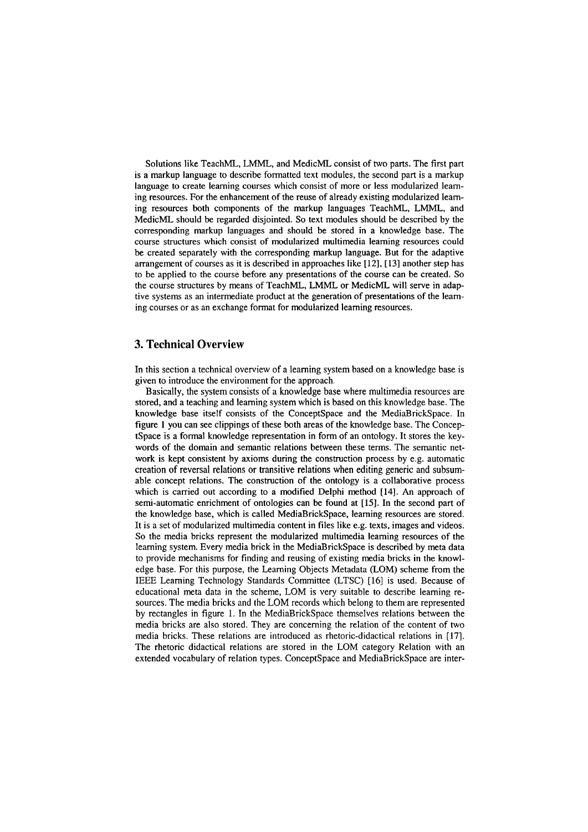Solutions like TeachML, LMML, and MedicML consist of two Parts. The first part is a markup language to describe formatted text modules, the second part is a markup language to create leaming courses which consist of more or less modularized leaming resources. For the enhancement of the reuse of already existing modularized leaming resources both components of the markup languages TeachML, LMML, and MedicML should be regarded disjointed. So text modules should be described by the corresponding markup languages and should be stored in a knowledge base. The course structures which consist of modularized multimedia leaming resources could **be** created separately with the corresponding markup language. But for the adaptive arrangement of courses as it is described in approaches like [12], [13] another step has to be applied to the course before any presentations of the course can be created. So the course structures by means of TeachML, LMML or MedicML will serve in adaptive systems as an intermediate product at the generation of presentations of the learning courses or as an exchange format for modularized leaming resources.

#### **3. Technical Overview**

In this section a technical overview of a leaming system based on a knowledge base is given to introduce the environment for the approach.

Basically, the system consists of a knowledge base where multimedia resources are stored, and a teaching and leaming system which is based on this knowledge base. The knowledge base itself consists of the ConceptSpace and the MediaBrickSpace. In figure 1 you can see clippings of these both areas of the knowledge base. The ConceptSpace is a formal knowledge representation in form of an ontology. It stores the keywords of the dornain and semantic relations between these terms. The semantic network is kept consistent by axioms during the construction process by e.g. automatic creation of reversal relations or transitive relations when editing generic and subsumable concept relations. The construction of the ontology is a collaborative process which is carried out according to a modified Delphi method [14]. An approach of semi-automatic enrichment of ontologies can be found at  $[15]$ . In the second part of the knowledge base, which is called MediaBrickSpace, leaming resources are stored. It is a set of modularized multimedia content in files like e.g. texts, images and videos. So the media bricks represent the modularized multirnedia leaming resources of the leaming system. Every media brick in the MediaBrickSpace is described by meta data to provide mechanisms for finding and reusing of existing media bricks in the knowledge base. For this purpose, the Leaming Objects Metadata (LOM) scheme from the IEEE Leaming Teclinology Standards Committee (LTSC) **[16]** is used. Because of educational meta data in the scheme, LOM is very suitable to describe learning resources. The media bricks and the LOM records which belong to them are represented by rectangles in figure 1. In the MediaBrickSpace themselves relations between the media bricks are also stored. They are conceming the relation of the content of two media bricks. These relations are introduced as rhetoric-didactical relations in [17]. The rhetoric didactical relations are stored in the LOM category Relation with an extended vocabulary of relation types. ConceptSpace and MediaBrickSpace are inter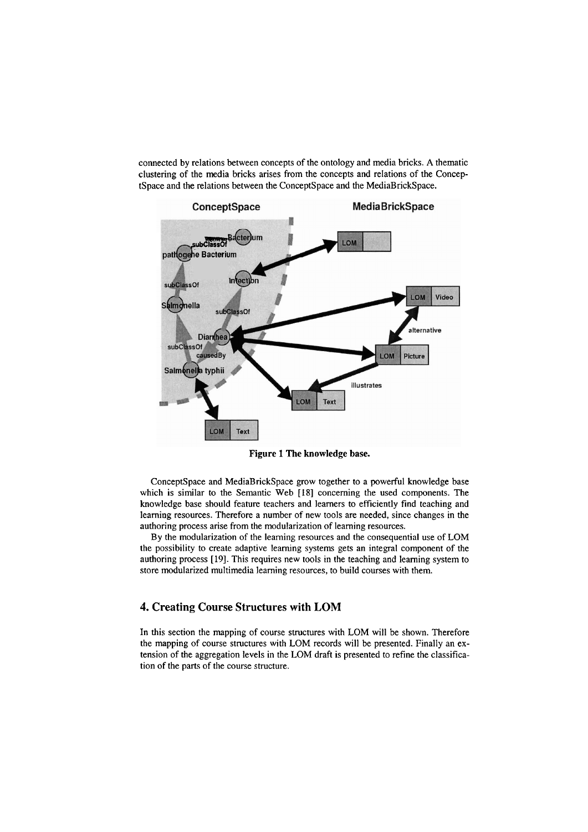comected by relations between concepts of the ontology and rnedia bricks. **A** thematic clustering of the rnedia bricks arises from the concepts and relations of the ConceptSpace and the relations between the ConceptSpace and the MediaBrickSpace.



**Figure 1 The knowledge base.** 

ConceptSpace and MediaBrickSpace grow together to a powerful knowledge base which is similar to the Semantic Web **[18]** conceming the used components. The knowledge base should feature teachers and leamers to efficiently find teaching and leaming resources. Therefore a number of new tools are needed, since changes in the authoring process arise from the modularization of learning resources.

By the modularization of the learning resources and the consequential use of LOM the possibility to create adaptive leaming Systems gets an integral component of the authoring process **[19].** This requires new tools in the teaching and leaming system to store modularized multimedia learning resources, to build courses with them.

### **4. Creating Course Structures with LOM**

In this section the mapping of course structures with LOM will be shown. Therefore the mapping of course structures with LOM records will be presented. Finally an extension of the aggregation levels in the LOM draft is presented to refine the classification of the parts of the course structure.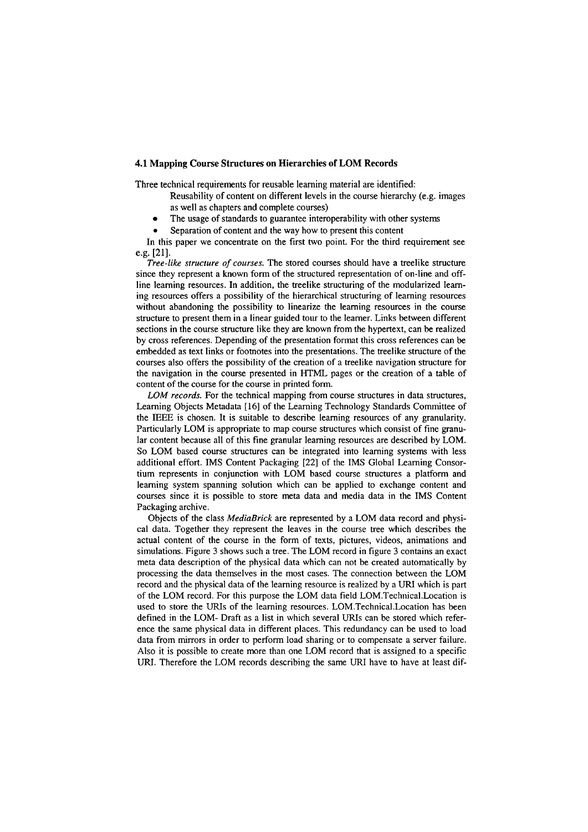#### **4.1 Mapping Course Structures on Hierarchies of LOM Records**

Three technical requirements for reusable leaming material are identified:

Reusability of content on different levels in the course hierarchy (e.g. images as well as chapters and complete courses)

The usage of standards to guarantee interoperability with other systems  $\bullet$ 

Separation of content and the way how to present this content

In this paper we concentrate on the first two point. For the third requirement see e.g. [21].

*Tree-like structure of courses.* The stored courses should have a treelike structure since they represent a known form of the structured representation of on-line and offline leaming resources. In addition, the treelike structuring of the modularized leaming resources offers a possibility of the hierarchical structuring of leaming resources without abandoning the possibility to linearize the learning resources in the course structure to present them in a linear guided tour to the learner. Links between different sections in the course structure like they are known from the hypertext, can be realized by cross references. Depending of the presentation format this cross references can be embedded as text links or footnotes into the presentations. The treelike structure of the courses also offers the possibility of the creation of a treelike navigation structure for the navigation in the course presented in HTML pages or the creation of a table of content of the course for the course in printed form.

*LOM records.* For the technical mapping from course structures in data structures, Learning Objects Metadata [16] of the Learning Technology Standards Committee of the IEEE is chosen. It is suitable to descnbe learning resources of any granularity. Particularly LOM is appropriate to map course structures which consist of fine granular content because all of this fine granular learning resources are described by LOM. So LOM based course structures can be integrated into learning systems with less additional effort. IMS Content Packaging [22] of the IMS Global Leaming Consortium represents in conjunction with LOM based course structures a platform and leaming system spanning solution which can be applied to exchange content and courses since it is possible to store meta data and media data in the IMS Content Packaging archive.

Objects of the class *MediaBrick* are represented by a LOM data record and physical data. Together they represent the leaves in the course tree which describes the actual content of the course in the form of texts, pictures, videos, animations and simulations. Figure 3 shows such a tree. The LOM record in figure 3 contains an exact meta data description of the physical data which can not be created automatically by processing the data themselves in the most cases. The connection between the LOM record and the physical data of the learning resource is realized by a URI which is part of the LOM record. For this purpose the LOM data field LOM.Technical.Location is used to store the URIs of the leaming resources. L0M.Technical.Location has been defined in the LOM- Draft as a list in which several URIs can be stored which reference the sarne physical data in different places. This redundancy can be used to load data from mirrors in order to perform load sharing or to compensate a server failure. Also it is possible to create more than one LOM record that is assigned to a specific URI. Therefore the LOM records describing the Same URI have to have at least dif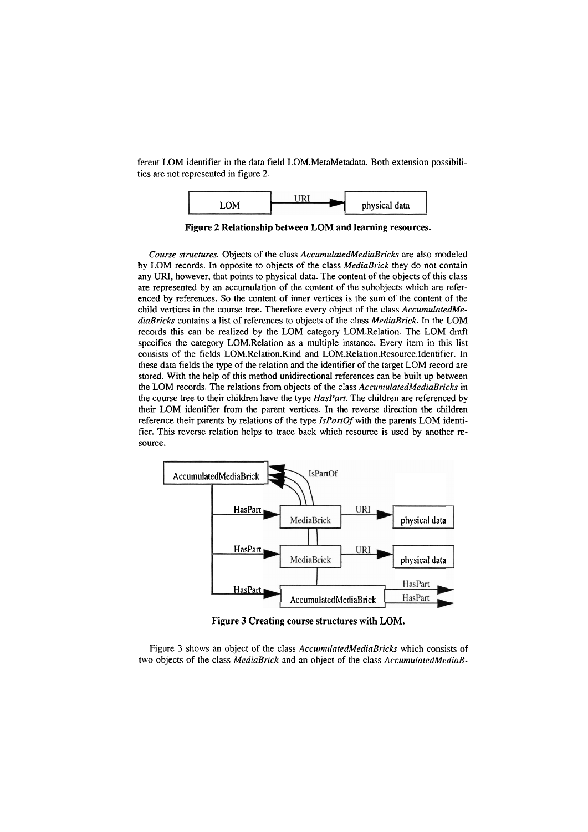ferent LOM identifier in the data field LOM.MetaMetadata. Both extension possibilities are not represented in figure 2.



**Figure 2 Relationship between LOM and learning resources.** 

*Course structures.* Objects of the class *AccurnulatedMediaBricks* are also modeled by LOM records. In opposite to objects of the class *MediaBrick* they do not contain any **URI,** however, that points to physical data. The content of the objects of this class are represented by an accumulation of the content of the subobjects which are referenced by references. So the content of inner vertices is the sum of the content of the child vertices in the course tree. Therefore every object of the class *AccurnulatedMediaßricks* contains a list of references to objects of the class *MediaBrick.* In the LOM records this can be realized by the LOM category LOM.Relation. The LOM draft specifies the category LOM.Relation as a multiple instance. Every item in this list consists of the fields LOM.Relation.Kind and LOM.Relation.Resource.Identifier. In these data fields the type of the relation and the identifier of the target LOM record are stored. With the help of this method unidirectional references can be built up between the LOM records. The relations from objects of the class *AccunzulatedMediaBricks* in the course tree to their children have the type *HasPart.* The children are referenced by their LOM identifier from the parent vertices. In the reverse direction the children reference their parents by relations of the type *IsPartOf* with the parents LOM identifier. This reverse relation helps to trace back which resource is used by another resource.



**Figure 3 Creating course structures with LOM.** 

Figure 3 shows an object of the class *AccumulatedMediaBricks* which consists of two objects of the class *MediaBrick* and an object of the class *AccumulatedMediaB-*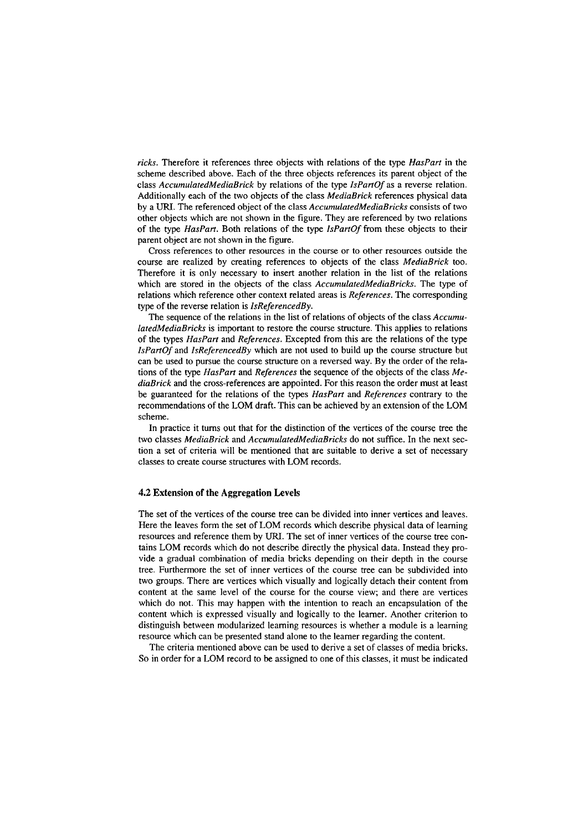*ricks.* Therefore it references tliree objects with relations of the type *HasPart* in the scherne described above. Each of the three objects references its parent object of the class *AccumularedMediaBrick* by relations of the type *IsPartOf* as a reverse relation. Additionally each of the two objects of the class *MediaBrick* references physical data by a **UM.** The referenced object of the class *AccumulatedMediaBricks* consists of two other objects which are not shown in the figure. They are referenced by two relations of the type *HasPart*. Both relations of the type *IsPartOf* from these objects to their parent object are not shown in the figure.

Cross references to other resources in the course or to other resources outside the course are realized by creating references to objects of the class *MediaBrick* too. Therefore it is only necessary to insert another relation in the list of the relations which are stored in the objects of the class *AccumulatedMediaBricks.* The type of relations which reference other context related areas is *References.* The corresponding type of the reverse relation is *IsReferencedBy.* 

The sequence of the relations in the list of relations of objects of the class *Accumu-LatedMediaBricks* is important to restore the course structure. This applies to relations of the types *HasPart* and *References.* Excepted frorn this are the relations of the type *IsPartOf* and *IsReferencedBy* which are not used to build up the course structure but can be used to pursue the course structure on a reversed way. By the order of the relations of the type *HasPart* and *References* the sequence of the objects of the class *MediaBrick* and the cross-references are appointed. For this reason the order must at least be guaranteed for the relations of the types *HasPart* and *References* contrary to the recommendations of the LOM draft. This can be achieved by an extension of the LOM scherne.

In practice it tums out that for the distinction of the vertices of the course tree the two classes *MediaBrick* and *AccumulatedMediaBricks* do not suffice. In the next section a set of criteria will be mentioned that are suitable to derive a set of necessary classes to create course structures with LOM records.

#### **4.2 Extension of the Aggregation Levels**

The set of the vertices of the course tree can be divided into inner vertices and leaves. Here the leaves form the set of LOM records which describe physical data of learning resources and reference them by URI. The set of inner vertices of the course tree contains LOM records which do not describe directly the physical data. Instead they provide a gradual combination of media bricks depending on their depth in the course tree. Furtherrnore the Set of inner vertices of the course tree can be subdivided into two groups. There are vertices which visually and logically detach their content frorn content at the sarne level of the course for the course view; and there are vertices which do not. This may happen with the intention to reach an encapsulation of the content which is expressed visually and logically to the leamer. Another criterion to distinguish between rnodularized leaming resources is whether a rnodule is a leaming resource which can be presented stand alone to the leamer regarding the content.

The criteria mentioned above can be used to derive a set of classes of media bricks. So in order for a LOM record to be assigned to one of this classes, it rnust be indicated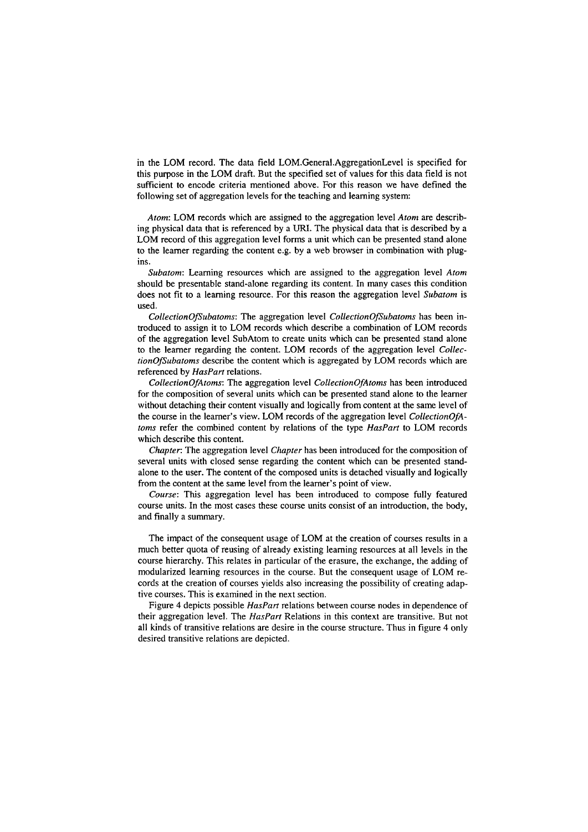in the LOM record. The data field LOM.General.AggregationLevel is specified for this pupse in the LOM draft. But the specified set of values for this data field is not sufficient to encode criteria mentioned above. For this reason we have defined the following set of aggregation levels for the teaching and learning system:

*Atom:* LOM records which are assigned to the aggregation level *Atom* are describing physical data that is referenced by a URI. The physical data that is described by a LOM record of this aggregation level forrns a unit which can be presented stand alone to the leamer regarding the content e.g. by a web browser in combination with plugins.

*Subatom:* Leaming resowces which are assigned to the aggregation level *Atom*  should be presentable stand-alone regarding its content. In many cases this condition does not fit to a learning resource. For this reason the aggregation level *Subatom* is used.

*CollectionOfSubatoms:* The aggregation level *CollectionOfSubatoms* has been introduced to assign it to LOM records which describe a combination of LOM records of the aggregation level SubAtom to create units which can be presented stand alone to the leamer regarding the content. LOM records of the aggregation level *CollectionOfSubatoms* describe the content which is aggregated by LOM records which are referenced by *HasPart* relations.

*CollectionOfAtoms:* The aggregation level *CollecrionOfAroms* has been introduced for the composition of several units which can **be** presented stand alone to the learner without detaching their content visually and logically from content at the same level of the Course in the leamer's view. LOM records of the aggregation level *CollectionOfAtoms* refer the combined content by relations of the type *HasPart* to LOM records which describe this content.

*Chapter:* The aggregation level *Chapter* has been introduced for the composition of several units with closed sense regarding the content which can be presented standalone to the User. The content of the composed units is detached visually and logically from the content at the same level from the leamer's point of view.

Course: This aggregation level has been introduced to compose fully featured course units. In the most cases these course units consist of an introduction, the body, and finally a summary.

The impact of the consequent usage of LOM at the creation of courses results in a much better quota of reusing of already existing leaming resources at all levels in the course hierarchy. This relates in particular of the erasure, the exchange, the adding of modularized leaming resources in the course. But the consequent usage of LOM records at the creation of courses yields also increasing the possibility of creating adaptive courses. This is exarnined in the next section.

Figure 4 depicts possible *HasPan* relations between course nodes in dependence of their aggregation level. The *HasPart* Relations in this context are transitive. But not all kinds of transitive relations are desire in the course structure. Thus in figure 4 only desired transitive relations are depicted.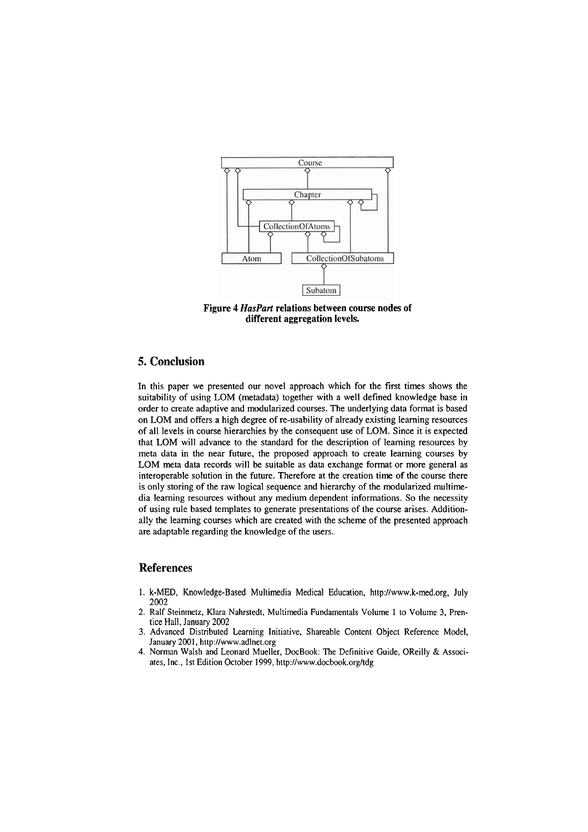

Figure 4 *HasPart* relations between course nodes **of**  different aggregation levels.

## **5. Conclusion**

In this paper we presented our novel approach which for the first times shows the suitability of using LOM (metadata) together with a well defined knowledge base in order to create adaptive and rnodularized courses. The underlying data format is based 011 LOM and offers a high degree of re-usability of already existing leaming resources of all levels in course hierarchies by the consequent use of LOM. Since it is expected that LOM will advance to the standard for the description of leaming resources by meta data in the near future, the proposed approach to create leaming courses by LOM meta data records will be suitable as data exchange format or more general as interoperable solution in the future. Therefore at the creation time of the course there is only storing of the raw logical sequence and hierarchy of the modularized multimedia leaming resources without any medium dependent informations. So the necessity of using rule based templates to generate presentations of the course arises. Additionally the leaming courses which are created with the scheme of the presented approach are adaptable regarding the knowledge of the users.

### **References**

- 1. k-MED, Knowledge-Based Multimedia Medical Education, http://www.k-med.org, July 2002
- 2. Ralf Steinmetz, Klara Nahrstedt, Multimedia Fundamentals Volume 1 to Volume 3, Prentice Hall, January 2002
- 3. Advanced Distributed Learning Initiative, Shareable Content Object Reference Model, January 2001, http://www.adlnet.org
- 4. Norrnan Walsh and Leonard Mueller, DocBook: The Definitive Guide, OReilly & Associates, Inc., Ist Edition October 1999, http://www.docbook.org/tdg